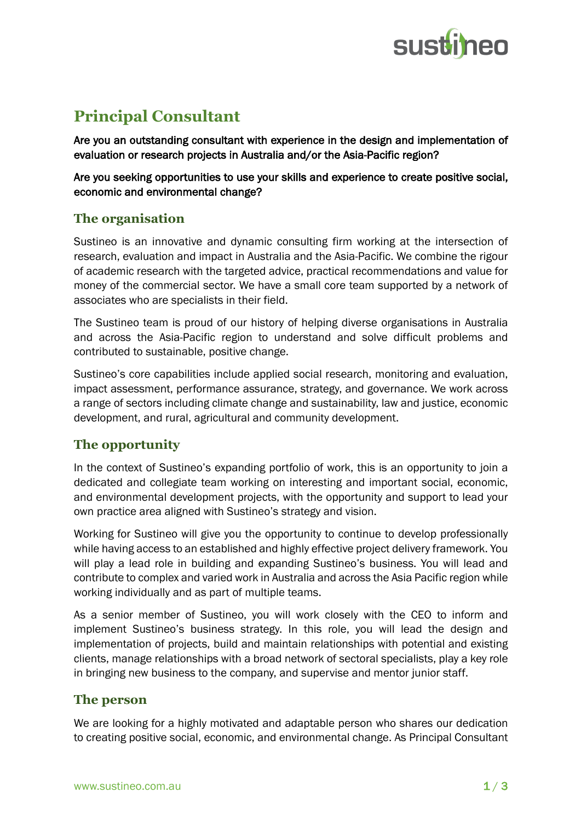

# **Principal Consultant**

Are you an outstanding consultant with experience in the design and implementation of evaluation or research projects in Australia and/or the Asia-Pacific region?

Are you seeking opportunities to use your skills and experience to create positive social, economic and environmental change?

## **The organisation**

Sustineo is an innovative and dynamic consulting firm working at the intersection of research, evaluation and impact in Australia and the Asia-Pacific. We combine the rigour of academic research with the targeted advice, practical recommendations and value for money of the commercial sector. We have a small core team supported by a network of associates who are specialists in their field.

The Sustineo team is proud of our history of helping diverse organisations in Australia and across the Asia-Pacific region to understand and solve difficult problems and contributed to sustainable, positive change.

Sustineo's core capabilities include applied social research, monitoring and evaluation, impact assessment, performance assurance, strategy, and governance. We work across a range of sectors including climate change and sustainability, law and justice, economic development, and rural, agricultural and community development.

# **The opportunity**

In the context of Sustineo's expanding portfolio of work, this is an opportunity to join a dedicated and collegiate team working on interesting and important social, economic, and environmental development projects, with the opportunity and support to lead your own practice area aligned with Sustineo's strategy and vision.

Working for Sustineo will give you the opportunity to continue to develop professionally while having access to an established and highly effective project delivery framework. You will play a lead role in building and expanding Sustineo's business. You will lead and contribute to complex and varied work in Australia and across the Asia Pacific region while working individually and as part of multiple teams.

As a senior member of Sustineo, you will work closely with the CEO to inform and implement Sustineo's business strategy. In this role, you will lead the design and implementation of projects, build and maintain relationships with potential and existing clients, manage relationships with a broad network of sectoral specialists, play a key role in bringing new business to the company, and supervise and mentor junior staff.

## **The person**

We are looking for a highly motivated and adaptable person who shares our dedication to creating positive social, economic, and environmental change. As Principal Consultant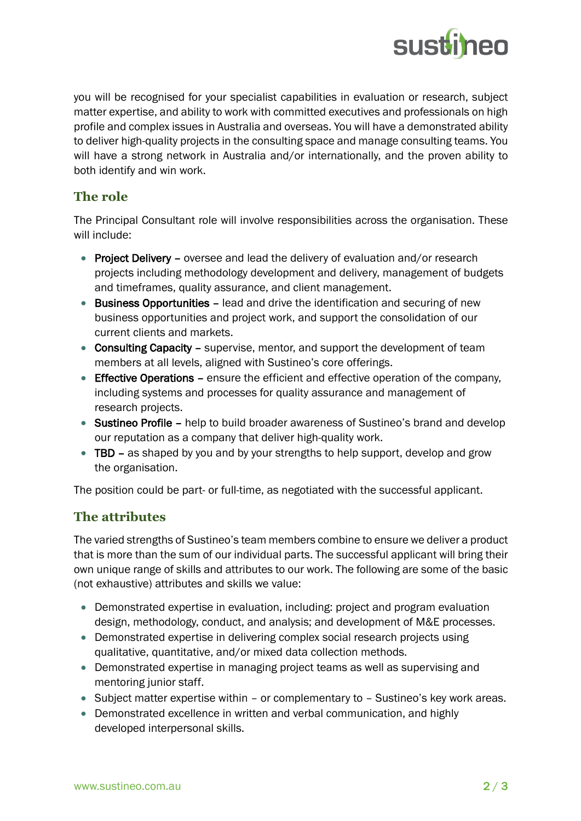

you will be recognised for your specialist capabilities in evaluation or research, subject matter expertise, and ability to work with committed executives and professionals on high profile and complex issues in Australia and overseas. You will have a demonstrated ability to deliver high-quality projects in the consulting space and manage consulting teams. You will have a strong network in Australia and/or internationally, and the proven ability to both identify and win work.

#### **The role**

The Principal Consultant role will involve responsibilities across the organisation. These will include:

- Project Delivery oversee and lead the delivery of evaluation and/or research projects including methodology development and delivery, management of budgets and timeframes, quality assurance, and client management.
- Business Opportunities lead and drive the identification and securing of new business opportunities and project work, and support the consolidation of our current clients and markets.
- Consulting Capacity supervise, mentor, and support the development of team members at all levels, aligned with Sustineo's core offerings.
- Effective Operations ensure the efficient and effective operation of the company, including systems and processes for quality assurance and management of research projects.
- Sustineo Profile help to build broader awareness of Sustineo's brand and develop our reputation as a company that deliver high-quality work.
- TBD as shaped by you and by your strengths to help support, develop and grow the organisation.

The position could be part- or full-time, as negotiated with the successful applicant.

## **The attributes**

The varied strengths of Sustineo's team members combine to ensure we deliver a product that is more than the sum of our individual parts. The successful applicant will bring their own unique range of skills and attributes to our work. The following are some of the basic (not exhaustive) attributes and skills we value:

- Demonstrated expertise in evaluation, including: project and program evaluation design, methodology, conduct, and analysis; and development of M&E processes.
- Demonstrated expertise in delivering complex social research projects using qualitative, quantitative, and/or mixed data collection methods.
- Demonstrated expertise in managing project teams as well as supervising and mentoring junior staff.
- Subject matter expertise within or complementary to Sustineo's key work areas.
- Demonstrated excellence in written and verbal communication, and highly developed interpersonal skills.